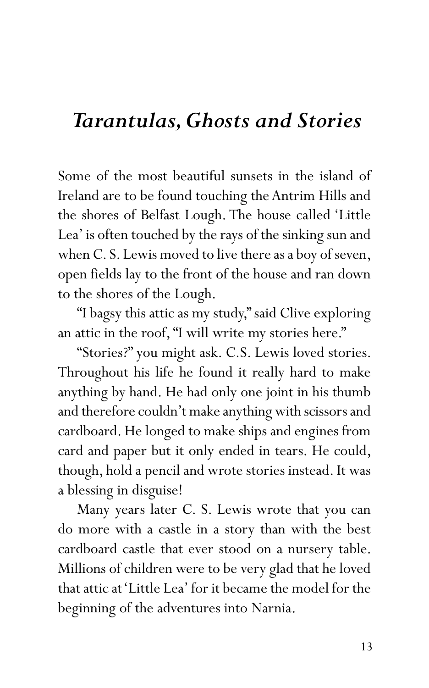## *Tarantulas, Ghosts and Stories*

Some of the most beautiful sunsets in the island of Ireland are to be found touching the Antrim Hills and the shores of Belfast Lough. The house called 'Little Lea' is often touched by the rays of the sinking sun and when C. S. Lewis moved to live there as a boy of seven, open fields lay to the front of the house and ran down to the shores of the Lough.

"I bagsy this attic as my study," said Clive exploring an attic in the roof, "I will write my stories here."

"Stories?" you might ask. C.S. Lewis loved stories. Throughout his life he found it really hard to make anything by hand. He had only one joint in his thumb and therefore couldn't make anything with scissors and cardboard. He longed to make ships and engines from card and paper but it only ended in tears. He could, though, hold a pencil and wrote stories instead. It was a blessing in disguise!

Many years later C. S. Lewis wrote that you can do more with a castle in a story than with the best cardboard castle that ever stood on a nursery table. Millions of children were to be very glad that he loved that attic at 'Little Lea' for it became the model for the beginning of the adventures into Narnia.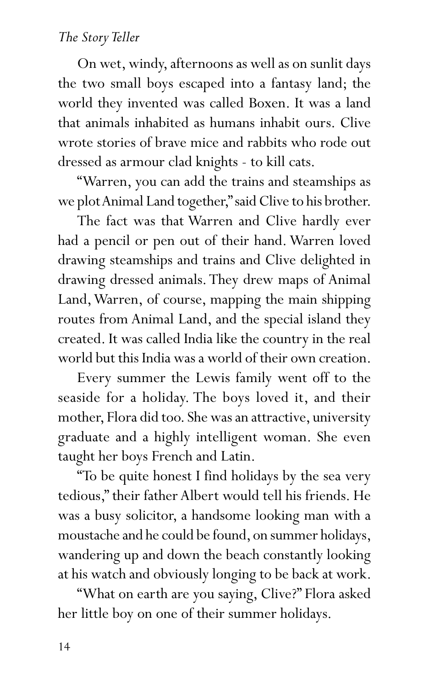## *The Story Teller*

On wet, windy, afternoons as well as on sunlit days the two small boys escaped into a fantasy land; the world they invented was called Boxen. It was a land that animals inhabited as humans inhabit ours. Clive wrote stories of brave mice and rabbits who rode out dressed as armour clad knights - to kill cats.

"Warren, you can add the trains and steamships as we plot Animal Land together," said Clive to his brother.

The fact was that Warren and Clive hardly ever had a pencil or pen out of their hand. Warren loved drawing steamships and trains and Clive delighted in drawing dressed animals. They drew maps of Animal Land, Warren, of course, mapping the main shipping routes from Animal Land, and the special island they created. It was called India like the country in the real world but this India was a world of their own creation.

Every summer the Lewis family went off to the seaside for a holiday. The boys loved it, and their mother, Flora did too. She was an attractive, university graduate and a highly intelligent woman. She even taught her boys French and Latin.

"To be quite honest I find holidays by the sea very tedious," their father Albert would tell his friends. He was a busy solicitor, a handsome looking man with a moustache and he could be found, on summer holidays, wandering up and down the beach constantly looking at his watch and obviously longing to be back at work.

"What on earth are you saying, Clive?" Flora asked her little boy on one of their summer holidays.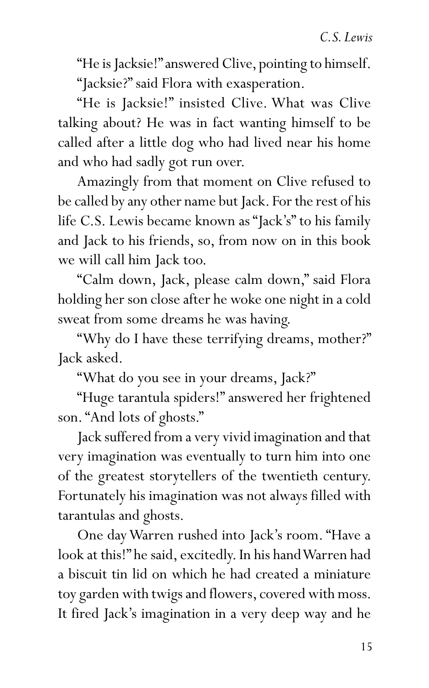"He is Jacksie!" answered Clive, pointing to himself. "Jacksie?" said Flora with exasperation.

"He is Jacksie!" insisted Clive. What was Clive talking about? He was in fact wanting himself to be called after a little dog who had lived near his home and who had sadly got run over.

Amazingly from that moment on Clive refused to be called by any other name but Jack. For the rest of his life C.S. Lewis became known as "Jack's" to his family and Jack to his friends, so, from now on in this book we will call him Jack too.

"Calm down, Jack, please calm down," said Flora holding her son close after he woke one night in a cold sweat from some dreams he was having.

"Why do I have these terrifying dreams, mother?" Jack asked.

"What do you see in your dreams, Jack?"

"Huge tarantula spiders!" answered her frightened son. "And lots of ghosts."

Jack suffered from a very vivid imagination and that very imagination was eventually to turn him into one of the greatest storytellers of the twentieth century. Fortunately his imagination was not always filled with tarantulas and ghosts.

One day Warren rushed into Jack's room. "Have a look at this!" he said, excitedly. In his hand Warren had a biscuit tin lid on which he had created a miniature toy garden with twigs and flowers, covered with moss. It fired Jack's imagination in a very deep way and he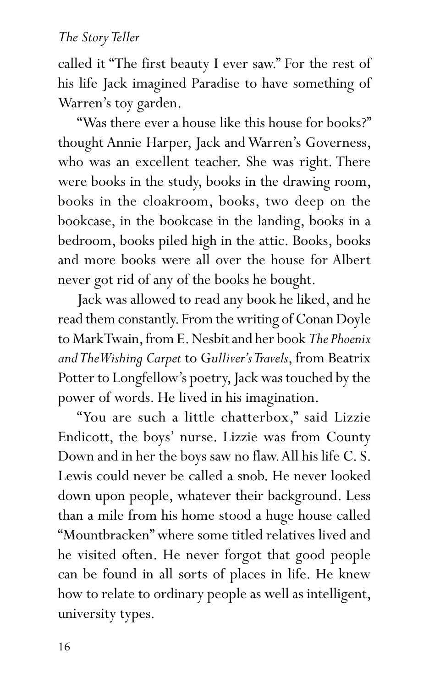## *The Story Teller*

called it "The first beauty I ever saw." For the rest of his life Jack imagined Paradise to have something of Warren's toy garden.

"Was there ever a house like this house for books?" thought Annie Harper, Jack and Warren's Governess, who was an excellent teacher. She was right. There were books in the study, books in the drawing room, books in the cloakroom, books, two deep on the bookcase, in the bookcase in the landing, books in a bedroom, books piled high in the attic. Books, books and more books were all over the house for Albert never got rid of any of the books he bought.

Jack was allowed to read any book he liked, and he read them constantly. From the writing of Conan Doyle to Mark Twain, from E. Nesbit and her book *The Phoenix and The Wishing Carpet* to G*ulliver's Travels*, from Beatrix Potter to Longfellow's poetry, Jack was touched by the power of words. He lived in his imagination.

"You are such a little chatterbox," said Lizzie Endicott, the boys' nurse. Lizzie was from County Down and in her the boys saw no flaw. All his life C. S. Lewis could never be called a snob. He never looked down upon people, whatever their background. Less than a mile from his home stood a huge house called "Mountbracken" where some titled relatives lived and he visited often. He never forgot that good people can be found in all sorts of places in life. He knew how to relate to ordinary people as well as intelligent, university types.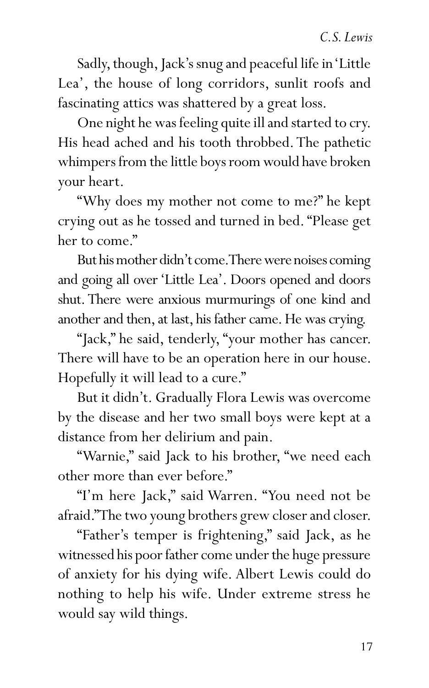*C.S. Lewis*

Sadly, though, Jack's snug and peaceful life in 'Little Lea', the house of long corridors, sunlit roofs and fascinating attics was shattered by a great loss.

One night he was feeling quite ill and started to cry. His head ached and his tooth throbbed. The pathetic whimpers from the little boys room would have broken your heart.

"Why does my mother not come to me?" he kept crying out as he tossed and turned in bed. "Please get her to come."

But his mother didn't come. There were noises coming and going all over 'Little Lea'. Doors opened and doors shut. There were anxious murmurings of one kind and another and then, at last, his father came. He was crying.

"Jack," he said, tenderly, "your mother has cancer. There will have to be an operation here in our house. Hopefully it will lead to a cure."

But it didn't. Gradually Flora Lewis was overcome by the disease and her two small boys were kept at a distance from her delirium and pain.

"Warnie," said Jack to his brother, "we need each other more than ever before."

"I'm here Jack," said Warren. "You need not be afraid." The two young brothers grew closer and closer.

"Father's temper is frightening," said Jack, as he witnessed his poor father come under the huge pressure of anxiety for his dying wife. Albert Lewis could do nothing to help his wife. Under extreme stress he would say wild things.